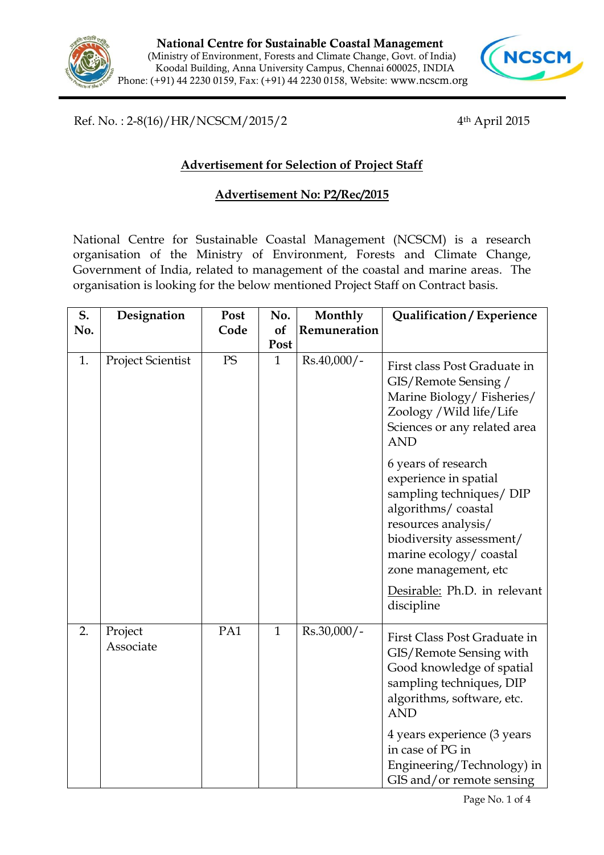



Ref. No. : 2-8(16)/HR/NCSCM/2015/2 4th April 2015

## **Advertisement for Selection of Project Staff**

## **Advertisement No: P2/Rec/2015**

National Centre for Sustainable Coastal Management (NCSCM) is a research organisation of the Ministry of Environment, Forests and Climate Change, Government of India, related to management of the coastal and marine areas. The organisation is looking for the below mentioned Project Staff on Contract basis.

| S.  | Designation              | Post | No.          | Monthly       | Qualification / Experience                                                                                                                                                                                                                        |
|-----|--------------------------|------|--------------|---------------|---------------------------------------------------------------------------------------------------------------------------------------------------------------------------------------------------------------------------------------------------|
| No. |                          | Code | of           | Remuneration  |                                                                                                                                                                                                                                                   |
|     |                          |      | Post         |               |                                                                                                                                                                                                                                                   |
| 1.  | <b>Project Scientist</b> | PS   | $\mathbf{1}$ | $Rs.40,000/-$ | First class Post Graduate in<br>GIS/Remote Sensing /<br>Marine Biology/Fisheries/<br>Zoology / Wild life/Life<br>Sciences or any related area<br><b>AND</b>                                                                                       |
|     |                          |      |              |               | 6 years of research<br>experience in spatial<br>sampling techniques/ DIP<br>algorithms/coastal<br>resources analysis/<br>biodiversity assessment/<br>marine ecology/coastal<br>zone management, etc<br>Desirable: Ph.D. in relevant<br>discipline |
| 2.  | Project<br>Associate     | PA1  | $\mathbf{1}$ | Rs.30,000/-   | First Class Post Graduate in<br>GIS/Remote Sensing with<br>Good knowledge of spatial<br>sampling techniques, DIP<br>algorithms, software, etc.<br><b>AND</b>                                                                                      |
|     |                          |      |              |               | 4 years experience (3 years<br>in case of PG in<br>Engineering/Technology) in<br>GIS and/or remote sensing                                                                                                                                        |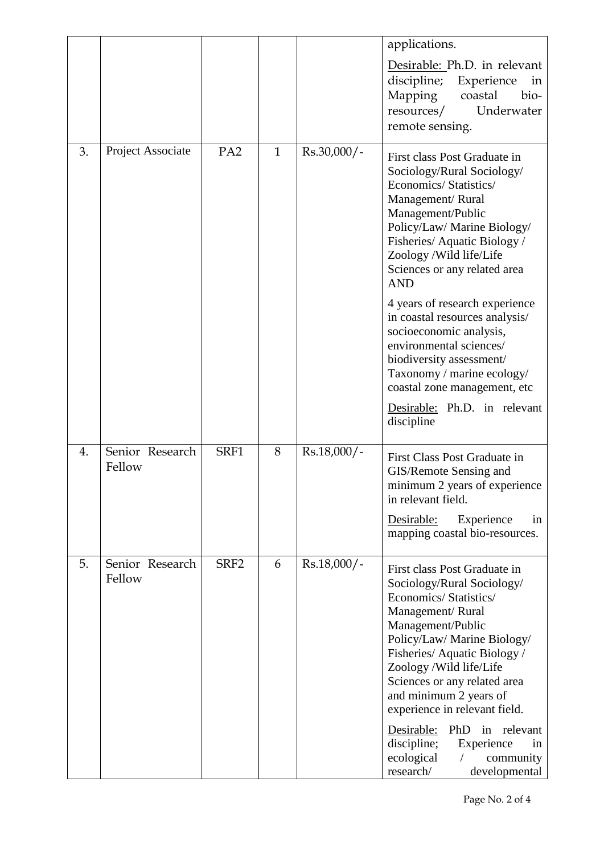|    |                           |                  |              |               | applications.                                                                                                                                                                                                                                                                                                    |
|----|---------------------------|------------------|--------------|---------------|------------------------------------------------------------------------------------------------------------------------------------------------------------------------------------------------------------------------------------------------------------------------------------------------------------------|
|    |                           |                  |              |               | Desirable: Ph.D. in relevant<br>discipline;<br>Experience<br>in<br>Mapping<br>coastal<br>bio-<br>Underwater<br>resources/<br>remote sensing.                                                                                                                                                                     |
| 3. | Project Associate         | PA <sub>2</sub>  | $\mathbf{1}$ | Rs.30,000/-   | First class Post Graduate in<br>Sociology/Rural Sociology/<br>Economics/ Statistics/<br>Management/Rural<br>Management/Public<br>Policy/Law/ Marine Biology/<br>Fisheries/Aquatic Biology/<br>Zoology / Wild life/Life<br>Sciences or any related area<br><b>AND</b>                                             |
|    |                           |                  |              |               | 4 years of research experience<br>in coastal resources analysis/<br>socioeconomic analysis,<br>environmental sciences/<br>biodiversity assessment/<br>Taxonomy / marine ecology/<br>coastal zone management, etc                                                                                                 |
|    |                           |                  |              |               | Desirable: Ph.D. in relevant<br>discipline                                                                                                                                                                                                                                                                       |
| 4. | Senior Research<br>Fellow | SRF1             | 8            | $Rs.18,000/-$ | First Class Post Graduate in<br>GIS/Remote Sensing and<br>minimum 2 years of experience<br>in relevant field.                                                                                                                                                                                                    |
|    |                           |                  |              |               | Desirable:<br>Experience<br>in<br>mapping coastal bio-resources.                                                                                                                                                                                                                                                 |
| 5. | Senior Research<br>Fellow | SRF <sub>2</sub> | 6            | $Rs.18,000/-$ | First class Post Graduate in<br>Sociology/Rural Sociology/<br>Economics/Statistics/<br>Management/Rural<br>Management/Public<br>Policy/Law/ Marine Biology/<br>Fisheries/Aquatic Biology/<br>Zoology / Wild life/Life<br>Sciences or any related area<br>and minimum 2 years of<br>experience in relevant field. |
|    |                           |                  |              |               | Desirable:<br>PhD in relevant<br>discipline;<br>Experience<br><sub>1</sub> n<br>ecological<br>community<br>$\sqrt{2}$<br>research/<br>developmental                                                                                                                                                              |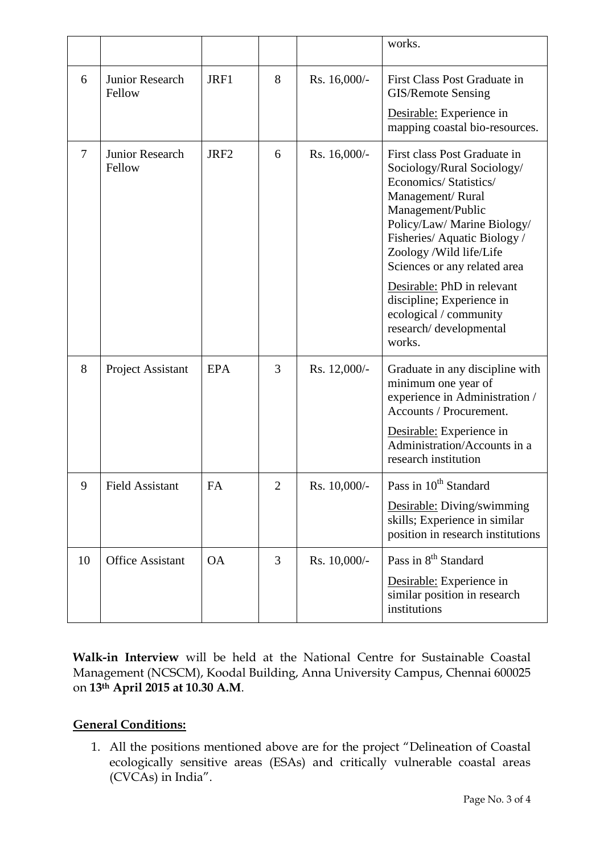|    |                           |                  |              |              | works.                                                                                                                                                                                                                                                                                                                                                                        |
|----|---------------------------|------------------|--------------|--------------|-------------------------------------------------------------------------------------------------------------------------------------------------------------------------------------------------------------------------------------------------------------------------------------------------------------------------------------------------------------------------------|
| 6  | Junior Research<br>Fellow | JRF1             | 8            | Rs. 16,000/- | First Class Post Graduate in<br>GIS/Remote Sensing<br>Desirable: Experience in<br>mapping coastal bio-resources.                                                                                                                                                                                                                                                              |
| 7  | Junior Research<br>Fellow | JRF <sub>2</sub> | 6            | Rs. 16,000/- | First class Post Graduate in<br>Sociology/Rural Sociology/<br>Economics/Statistics/<br>Management/Rural<br>Management/Public<br>Policy/Law/ Marine Biology/<br>Fisheries/Aquatic Biology/<br>Zoology /Wild life/Life<br>Sciences or any related area<br>Desirable: PhD in relevant<br>discipline; Experience in<br>ecological / community<br>research/developmental<br>works. |
| 8  | <b>Project Assistant</b>  | <b>EPA</b>       | 3            | Rs. 12,000/- | Graduate in any discipline with<br>minimum one year of<br>experience in Administration /<br>Accounts / Procurement.<br>Desirable: Experience in<br>Administration/Accounts in a<br>research institution                                                                                                                                                                       |
| 9  | <b>Field Assistant</b>    | FA               | $\mathbf{2}$ | Rs. 10,000/- | Pass in 10 <sup>th</sup> Standard<br>Desirable: Diving/swimming<br>skills; Experience in similar<br>position in research institutions                                                                                                                                                                                                                                         |
| 10 | <b>Office Assistant</b>   | <b>OA</b>        | 3            | Rs. 10,000/- | Pass in 8 <sup>th</sup> Standard<br>Desirable: Experience in<br>similar position in research<br>institutions                                                                                                                                                                                                                                                                  |

**Walk-in Interview** will be held at the National Centre for Sustainable Coastal Management (NCSCM), Koodal Building, Anna University Campus, Chennai 600025 on **13th April 2015 at 10.30 A.M**.

## **General Conditions:**

1. All the positions mentioned above are for the project "Delineation of Coastal ecologically sensitive areas (ESAs) and critically vulnerable coastal areas (CVCAs) in India".